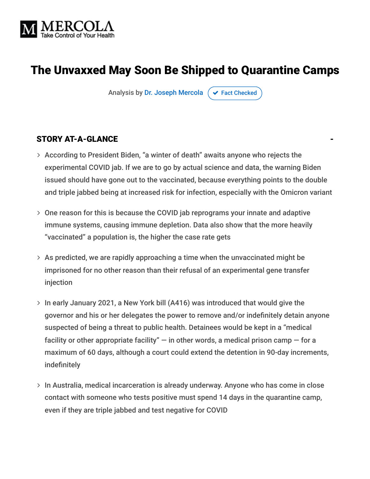

# The Unvaxxed May Soon Be Shipped to Quarantine Camps

Analysis by [Dr. Joseph Mercola](https://www.mercola.com/forms/background.htm)  $\sigma$  [Fact Checked](javascript:void(0))

#### STORY AT-A-GLANCE

- According to President Biden, "a winter of death" awaits anyone who rejects the experimental COVID jab. If we are to go by actual science and data, the warning Biden issued should have gone out to the vaccinated, because everything points to the double and triple jabbed being at increased risk for infection, especially with the Omicron variant
- One reason for this is because the COVID jab reprograms your innate and adaptive immune systems, causing immune depletion. Data also show that the more heavily "vaccinated" a population is, the higher the case rate gets
- $>$  As predicted, we are rapidly approaching a time when the unvaccinated might be imprisoned for no other reason than their refusal of an experimental gene transfer injection
- > In early January 2021, a New York bill (A416) was introduced that would give the governor and his or her delegates the power to remove and/or indefinitely detain anyone suspected of being a threat to public health. Detainees would be kept in a "medical facility or other appropriate facility"  $-$  in other words, a medical prison camp  $-$  for a maximum of 60 days, although a court could extend the detention in 90-day increments, indefinitely
- $>$  In Australia, medical incarceration is already underway. Anyone who has come in close contact with someone who tests positive must spend 14 days in the quarantine camp, even if they are triple jabbed and test negative for COVID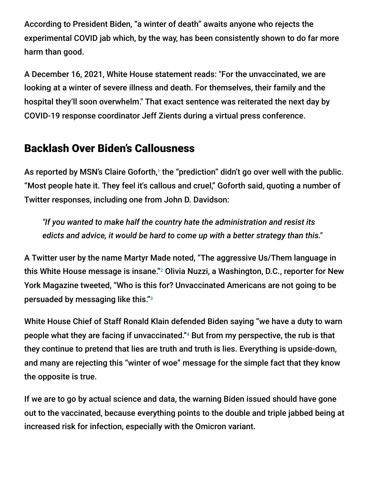According to President Biden, "a winter of death" awaits anyone who rejects the experimental COVID jab which, by the way, has been consistently shown to do far more harm than good.

A December 16, 2021, White House statement reads: "For the unvaccinated, we are looking at a winter of severe illness and death. For themselves, their family and the hospital they'll soon overwhelm." That exact sentence was reiterated the next day by COVID-19 response coordinator Jeff Zients during a virtual press conference.

# Backlash Over Biden's Callousness

As reported by MSN's Claire Goforth,1 the "prediction" didn't go over well with the public. "Most people hate it. They feel it's callous and cruel," Goforth said, quoting a number of Twitter responses, including one from John D. Davidson:

*"If you wanted to make half the country hate the administration and resist its edicts and advice, it would be hard to come up with a better strategy than this."*

A Twitter user by the name Martyr Made noted, "The aggressive Us/Them language in this White House message is insane."<sup>2</sup> Olivia Nuzzi, a Washington, D.C., reporter for New York Magazine tweeted, "Who is this for? Unvaccinated Americans are not going to be persuaded by messaging like this." 3

White House Chief of Staff Ronald Klain defended Biden saying "we have a duty to warn people what they are facing if unvaccinated."<sup>4</sup> But from my perspective, the rub is that they continue to pretend that lies are truth and truth is lies. Everything is upside-down, and many are rejecting this "winter of woe" message for the simple fact that they know the opposite is true.

If we are to go by actual science and data, the warning Biden issued should have gone out to the vaccinated, because everything points to the double and triple jabbed being at increased risk for infection, especially with the Omicron variant.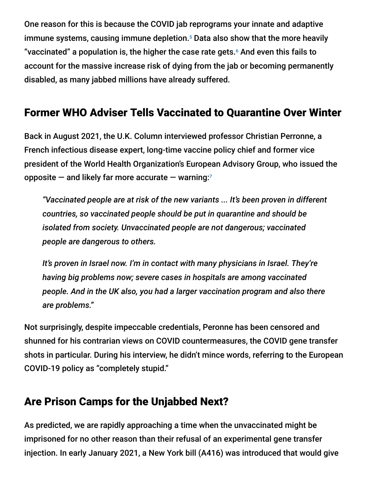One reason for this is because the COVID jab reprograms your innate and adaptive immune systems, causing immune depletion.<sup>5</sup> Data also show that the more heavily "vaccinated" a population is, the higher the case rate gets. $6$  And even this fails to account for the massive increase risk of dying from the jab or becoming permanently disabled, as many jabbed millions have already suffered.

# Former WHO Adviser Tells Vaccinated to Quarantine Over Winter

Back in August 2021, the U.K. Column interviewed professor Christian Perronne, a French infectious disease expert, long-time vaccine policy chief and former vice president of the World Health Organization's European Advisory Group, who issued the opposite  $-$  and likely far more accurate  $-$  warning:<sup>7</sup>

*"Vaccinated people are at risk of the new variants ... It's been proven in different countries, so vaccinated people should be put in quarantine and should be isolated from society. Unvaccinated people are not dangerous; vaccinated people are dangerous to others.*

*It's proven in Israel now. I'm in contact with many physicians in Israel. They're having big problems now; severe cases in hospitals are among vaccinated people. And in the UK also, you had a larger vaccination program and also there are problems."*

Not surprisingly, despite impeccable credentials, Peronne has been censored and shunned for his contrarian views on COVID countermeasures, the COVID gene transfer shots in particular. During his interview, he didn't mince words, referring to the European COVID-19 policy as "completely stupid."

# Are Prison Camps for the Unjabbed Next?

As predicted, we are rapidly approaching a time when the unvaccinated might be imprisoned for no other reason than their refusal of an experimental gene transfer injection. In early January 2021, a New York bill (A416) was introduced that would give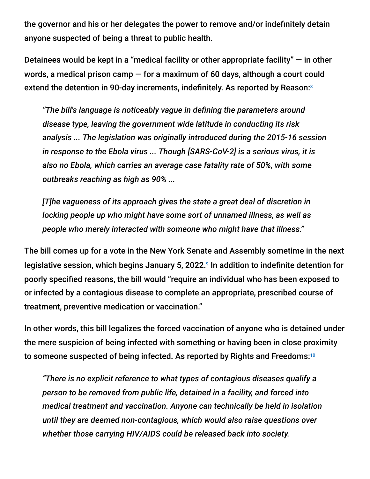the governor and his or her delegates the power to remove and/or indefinitely detain anyone suspected of being a threat to public health.

Detainees would be kept in a "medical facility or other appropriate facility"  $-$  in other words, a medical prison camp — for a maximum of 60 days, although a court could extend the detention in 90-day increments, indefinitely. As reported by Reason: 8

*"The bill's language is noticeably vague in defining the parameters around disease type, leaving the government wide latitude in conducting its risk analysis ... The legislation was originally introduced during the 2015-16 session in response to the Ebola virus ... Though [SARS-CoV-2] is a serious virus, it is also no Ebola, which carries an average case fatality rate of 50%, with some outbreaks reaching as high as 90% ...*

*[T]he vagueness of its approach gives the state a great deal of discretion in locking people up who might have some sort of unnamed illness, as well as people who merely interacted with someone who might have that illness."*

The bill comes up for a vote in the New York Senate and Assembly sometime in the next legislative session, which begins January 5, 2022.<sup>9</sup> In addition to indefinite detention for poorly specified reasons, the bill would "require an individual who has been exposed to or infected by a contagious disease to complete an appropriate, prescribed course of treatment, preventive medication or vaccination."

In other words, this bill legalizes the forced vaccination of anyone who is detained under the mere suspicion of being infected with something or having been in close proximity to someone suspected of being infected. As reported by Rights and Freedoms: 10

*"There is no explicit reference to what types of contagious diseases qualify a person to be removed from public life, detained in a facility, and forced into medical treatment and vaccination. Anyone can technically be held in isolation until they are deemed non-contagious, which would also raise questions over whether those carrying HIV/AIDS could be released back into society.*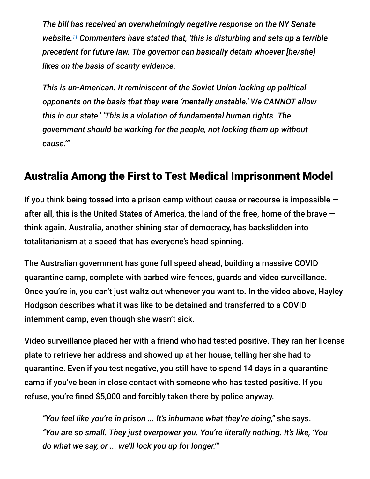*The bill has received an overwhelmingly negative response on the NY Senate* website.<sup>11</sup> Commenters have stated that, 'this is disturbing and sets up a terrible *precedent for future law. The governor can basically detain whoever [he/she] likes on the basis of scanty evidence.*

*This is un-American. It reminiscent of the Soviet Union locking up political opponents on the basis that they were 'mentally unstable.' We CANNOT allow this in our state.' 'This is a violation of fundamental human rights. The government should be working for the people, not locking them up without cause.'"*

# Australia Among the First to Test Medical Imprisonment Model

If you think being tossed into a prison camp without cause or recourse is impossible  $$ after all, this is the United States of America, the land of the free, home of the brave think again. Australia, another shining star of democracy, has backslidden into totalitarianism at a speed that has everyone's head spinning.

The Australian government has gone full speed ahead, building a massive COVID quarantine camp, complete with barbed wire fences, guards and video surveillance. Once you're in, you can't just waltz out whenever you want to. In the video above, Hayley Hodgson describes what it was like to be detained and transferred to a COVID internment camp, even though she wasn't sick.

Video surveillance placed her with a friend who had tested positive. They ran her license plate to retrieve her address and showed up at her house, telling her she had to quarantine. Even if you test negative, you still have to spend 14 days in a quarantine camp if you've been in close contact with someone who has tested positive. If you refuse, you're fined \$5,000 and forcibly taken there by police anyway.

*"You feel like you're in prison ... It's inhumane what they're doing,"* she says. *"You are so small. They just overpower you. You're literally nothing. It's like, 'You do what we say, or ... we'll lock you up for longer.'"*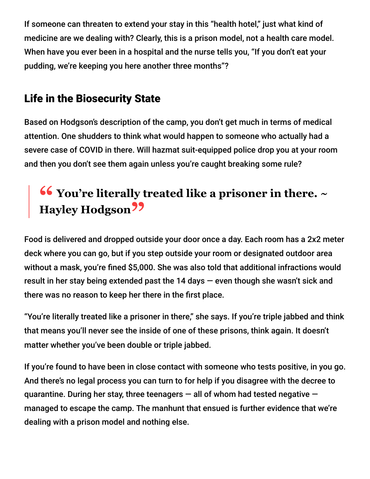If someone can threaten to extend your stay in this "health hotel," just what kind of medicine are we dealing with? Clearly, this is a prison model, not a health care model. When have you ever been in a hospital and the nurse tells you, "If you don't eat your pudding, we're keeping you here another three months"?

# Life in the Biosecurity State

Based on Hodgson's description of the camp, you don't get much in terms of medical attention. One shudders to think what would happen to someone who actually had a severe case of COVID in there. Will hazmat suit-equipped police drop you at your room and then you don't see them again unless you're caught breaking some rule?

# **<sup>66</sup>** You're literally treated like a prisoner in there. ~ **Hayley Hodgson"**

Food is delivered and dropped outside your door once a day. Each room has a 2x2 meter deck where you can go, but if you step outside your room or designated outdoor area without a mask, you're fined \$5,000. She was also told that additional infractions would result in her stay being extended past the 14 days — even though she wasn't sick and there was no reason to keep her there in the first place.

"You're literally treated like a prisoner in there," she says. If you're triple jabbed and think that means you'll never see the inside of one of these prisons, think again. It doesn't matter whether you've been double or triple jabbed.

If you're found to have been in close contact with someone who tests positive, in you go. And there's no legal process you can turn to for help if you disagree with the decree to quarantine. During her stay, three teenagers  $-$  all of whom had tested negative  $$ managed to escape the camp. The manhunt that ensued is further evidence that we're dealing with a prison model and nothing else.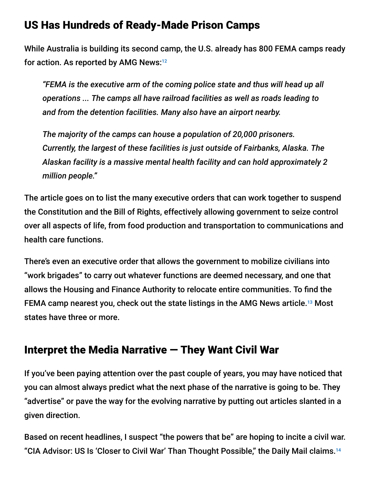## US Has Hundreds of Ready-Made Prison Camps

While Australia is building its second camp, the U.S. already has 800 FEMA camps ready for action. As reported by AMG News: 12

*"FEMA is the executive arm of the coming police state and thus will head up all operations ... The camps all have railroad facilities as well as roads leading to and from the detention facilities. Many also have an airport nearby.*

*The majority of the camps can house a population of 20,000 prisoners. Currently, the largest of these facilities is just outside of Fairbanks, Alaska. The Alaskan facility is a massive mental health facility and can hold approximately 2 million people."*

The article goes on to list the many executive orders that can work together to suspend the Constitution and the Bill of Rights, effectively allowing government to seize control over all aspects of life, from food production and transportation to communications and health care functions.

There's even an executive order that allows the government to mobilize civilians into "work brigades" to carry out whatever functions are deemed necessary, and one that allows the Housing and Finance Authority to relocate entire communities. To find the FEMA camp nearest you, check out the state listings in the AMG News article.<sup>13</sup> Most states have three or more.

# Interpret the Media Narrative — They Want Civil War

If you've been paying attention over the past couple of years, you may have noticed that you can almost always predict what the next phase of the narrative is going to be. They "advertise" or pave the way for the evolving narrative by putting out articles slanted in a given direction.

Based on recent headlines, I suspect "the powers that be" are hoping to incite a civil war. "CIA Advisor: US Is 'Closer to Civil War' Than Thought Possible," the Daily Mail claims. 14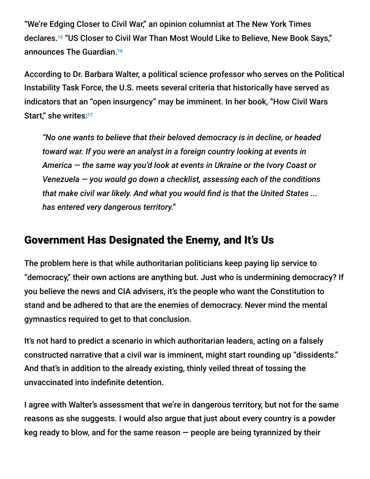"We're Edging Closer to Civil War," an opinion columnist at The New York Times declares.<sup>15</sup> "US Closer to Civil War Than Most Would Like to Believe, New Book Says," announces The Guardian. 16

According to Dr. Barbara Walter, a political science professor who serves on the Political Instability Task Force, the U.S. meets several criteria that historically have served as indicators that an "open insurgency" may be imminent. In her book, "How Civil Wars Start," she writes:<sup>17</sup>

*"No one wants to believe that their beloved democracy is in decline, or headed toward war. If you were an analyst in a foreign country looking at events in America — the same way you'd look at events in Ukraine or the Ivory Coast or Venezuela — you would go down a checklist, assessing each of the conditions that make civil war likely. And what you would find is that the United States ... has entered very dangerous territory."*

## Government Has Designated the Enemy, and It's Us

The problem here is that while authoritarian politicians keep paying lip service to "democracy," their own actions are anything but. Just who is undermining democracy? If you believe the news and CIA advisers, it's the people who want the Constitution to stand and be adhered to that are the enemies of democracy. Never mind the mental gymnastics required to get to that conclusion.

It's not hard to predict a scenario in which authoritarian leaders, acting on a falsely constructed narrative that a civil war is imminent, might start rounding up "dissidents." And that's in addition to the already existing, thinly veiled threat of tossing the unvaccinated into indefinite detention.

I agree with Walter's assessment that we're in dangerous territory, but not for the same reasons as she suggests. I would also argue that just about every country is a powder keg ready to blow, and for the same reason  $-$  people are being tyrannized by their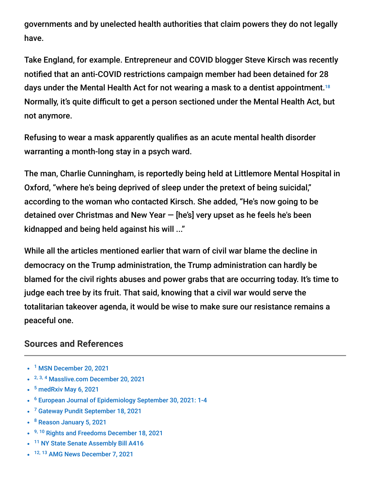governments and by unelected health authorities that claim powers they do not legally have.

Take England, for example. Entrepreneur and COVID blogger Steve Kirsch was recently notified that an anti-COVID restrictions campaign member had been detained for 28 days under the Mental Health Act for not wearing a mask to a dentist appointment. 18 Normally, it's quite difficult to get a person sectioned under the Mental Health Act, but not anymore.

Refusing to wear a mask apparently qualifies as an acute mental health disorder warranting a month-long stay in a psych ward.

The man, Charlie Cunningham, is reportedly being held at Littlemore Mental Hospital in Oxford, "where he's being deprived of sleep under the pretext of being suicidal," according to the woman who contacted Kirsch. She added, "He's now going to be detained over Christmas and New Year — [he's] very upset as he feels he's been kidnapped and being held against his will ..."

While all the articles mentioned earlier that warn of civil war blame the decline in democracy on the Trump administration, the Trump administration can hardly be blamed for the civil rights abuses and power grabs that are occurring today. It's time to judge each tree by its fruit. That said, knowing that a civil war would serve the totalitarian takeover agenda, it would be wise to make sure our resistance remains a peaceful one.

#### **Sources and References**

- <sup>1</sup> [MSN December 20, 2021](https://www.msn.com/en-us/news/politics/e2-80-98a-winter-of-death-e2-80-99-biden-e2-80-99s-hardcore-message-to-the-unvaccinated-sparks-anger-online/ar-AARZQK9)
- <sup>2, 3, 4</sup> [Masslive.com December 20, 2021](https://www.masslive.com/coronavirus/2021/12/white-house-statement-on-unvaccinated-americans-draws-ire-over-pointed-messaging-about-covid-winter-to-come.html)
- $5$  [medRxiv May 6, 2021](https://www.medrxiv.org/content/10.1101/2021.05.03.21256520v1.full)
- <sup>6</sup> [European Journal of Epidemiology September 30, 2021: 1-4](https://www.ncbi.nlm.nih.gov/labs/pmc/articles/PMC8481107/)
- <sup>7</sup> [Gateway Pundit September 18, 2021](https://www.thegatewaypundit.com/2021/09/former-vice-president-european-advisory-group-vaccinated-people-put-quarantine-isolated-society/)
- <sup>8</sup> [Reason January 5, 2021](https://reason.com/2021/01/05/new-york-bill-would-let-state-put-people-in-detention-public-health-threat-covid-19/)
- <sup>9, 10</sup> [Rights and Freedoms December 18, 2021](https://rightsfreedoms.wordpress.com/2021/12/20/new-york-legislation-provides-for-indefinite-detention-of-unvaccinated-at-governors-whim/)
- <sup>11</sup> [NY State Senate Assembly Bill A416](https://www.nysenate.gov/legislation/bills/2021/a416)
- <sup>12, 13</sup> [AMG News December 7, 2021](https://amg-news.com/archives/1988)